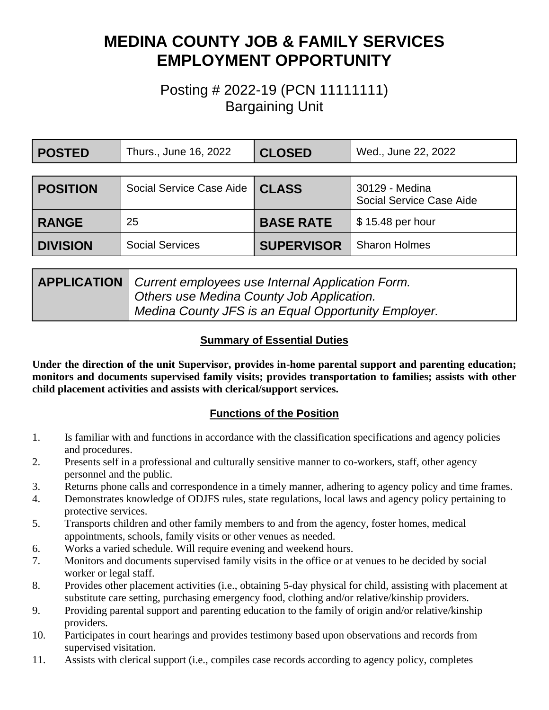# **MEDINA COUNTY JOB & FAMILY SERVICES EMPLOYMENT OPPORTUNITY**

# Posting # 2022-19 (PCN 11111111) Bargaining Unit

| <b>POSTED</b>   | Thurs., June 16, 2022    | <b>CLOSED</b>     | Wed., June 22, 2022                        |
|-----------------|--------------------------|-------------------|--------------------------------------------|
|                 |                          |                   |                                            |
| <b>POSITION</b> | Social Service Case Aide | <b>CLASS</b>      | 30129 - Medina<br>Social Service Case Aide |
| <b>RANGE</b>    | 25                       | <b>BASE RATE</b>  | $$15.48$ per hour                          |
| <b>DIVISION</b> | <b>Social Services</b>   | <b>SUPERVISOR</b> | <b>Sharon Holmes</b>                       |

| <b>APPLICATION</b>   Current employees use Internal Application Form. |  |
|-----------------------------------------------------------------------|--|
| Others use Medina County Job Application.                             |  |
| Medina County JFS is an Equal Opportunity Employer.                   |  |

#### **Summary of Essential Duties**

**Under the direction of the unit Supervisor, provides in-home parental support and parenting education; monitors and documents supervised family visits; provides transportation to families; assists with other child placement activities and assists with clerical/support services.**

### **Functions of the Position**

- 1. Is familiar with and functions in accordance with the classification specifications and agency policies and procedures.
- 2. Presents self in a professional and culturally sensitive manner to co-workers, staff, other agency personnel and the public.
- 3. Returns phone calls and correspondence in a timely manner, adhering to agency policy and time frames.
- 4. Demonstrates knowledge of ODJFS rules, state regulations, local laws and agency policy pertaining to protective services.
- 5. Transports children and other family members to and from the agency, foster homes, medical appointments, schools, family visits or other venues as needed.
- 6. Works a varied schedule. Will require evening and weekend hours.
- 7. Monitors and documents supervised family visits in the office or at venues to be decided by social worker or legal staff.
- 8. Provides other placement activities (i.e., obtaining 5-day physical for child, assisting with placement at substitute care setting, purchasing emergency food, clothing and/or relative/kinship providers.
- 9. Providing parental support and parenting education to the family of origin and/or relative/kinship providers.
- 10. Participates in court hearings and provides testimony based upon observations and records from supervised visitation.
- 11. Assists with clerical support (i.e., compiles case records according to agency policy, completes